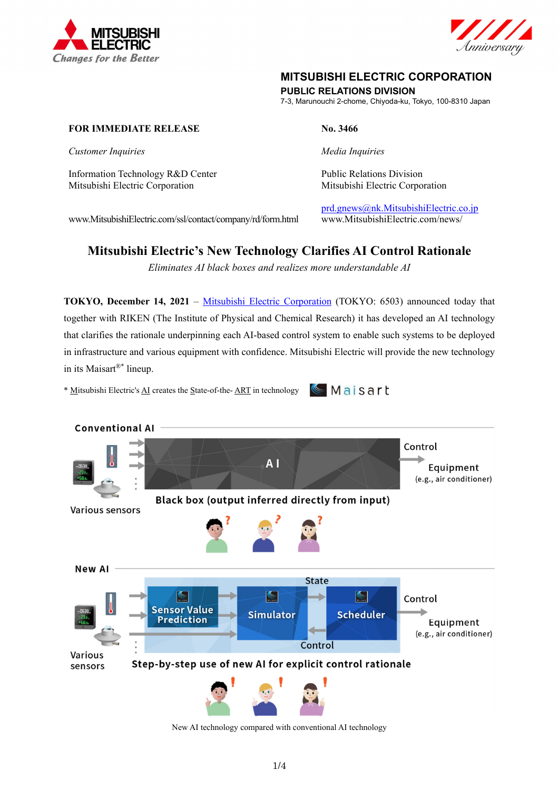



## **MITSUBISHI ELECTRIC CORPORATION**

**PUBLIC RELATIONS DIVISION** 

7-3, Marunouchi 2-chome, Chiyoda-ku, Tokyo, 100-8310 Japan

## **FOR IMMEDIATE RELEASE No. 3466**

*Customer Inquiries* and *Media Inquiries Media Inquiries* 

Information Technology R&D Center Public Relations Division Mitsubishi Electric Corporation Mitsubishi Electric Corporation

 $Maisart$ 

www.MitsubishiElectric.com/ssl/contact/company/rd/form.html www.MitsubishiElectric.com/news/

prd.gnews@nk.MitsubishiElectric.co.jp

# **Mitsubishi Electric's New Technology Clarifies AI Control Rationale**

*Eliminates AI black boxes and realizes more understandable AI* 

**TOKYO, December 14, 2021** – Mitsubishi Electric Corporation (TOKYO: 6503) announced today that together with RIKEN (The Institute of Physical and Chemical Research) it has developed an AI technology that clarifies the rationale underpinning each AI-based control system to enable such systems to be deployed in infrastructure and various equipment with confidence. Mitsubishi Electric will provide the new technology in its Maisart®\* lineup.

\* Mitsubishi Electric's AI creates the State-of-the- ART in technology



New AI technology compared with conventional AI technology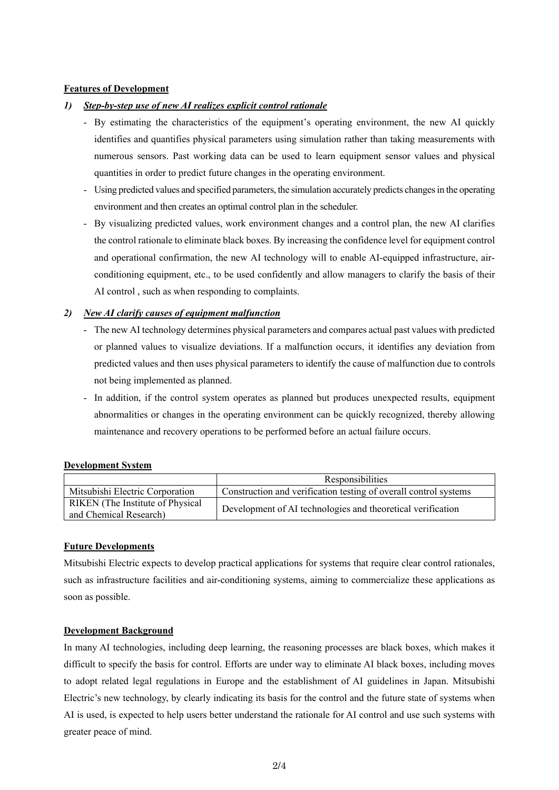## **Features of Development**

## *1) Step-by-step use of new AI realizes explicit control rationale*

- By estimating the characteristics of the equipment's operating environment, the new AI quickly identifies and quantifies physical parameters using simulation rather than taking measurements with numerous sensors. Past working data can be used to learn equipment sensor values and physical quantities in order to predict future changes in the operating environment.
- Using predicted values and specified parameters, the simulation accurately predicts changes in the operating environment and then creates an optimal control plan in the scheduler.
- By visualizing predicted values, work environment changes and a control plan, the new AI clarifies the control rationale to eliminate black boxes. By increasing the confidence level for equipment control and operational confirmation, the new AI technology will to enable AI-equipped infrastructure, airconditioning equipment, etc., to be used confidently and allow managers to clarify the basis of their AI control , such as when responding to complaints.

## *2) New AI clarify causes of equipment malfunction*

- The new AI technology determines physical parameters and compares actual past values with predicted or planned values to visualize deviations. If a malfunction occurs, it identifies any deviation from predicted values and then uses physical parameters to identify the cause of malfunction due to controls not being implemented as planned.
- In addition, if the control system operates as planned but produces unexpected results, equipment abnormalities or changes in the operating environment can be quickly recognized, thereby allowing maintenance and recovery operations to be performed before an actual failure occurs.

### **Development System**

|                                                            | Responsibilities                                                 |
|------------------------------------------------------------|------------------------------------------------------------------|
| Mitsubishi Electric Corporation                            | Construction and verification testing of overall control systems |
| RIKEN (The Institute of Physical<br>and Chemical Research) | Development of AI technologies and theoretical verification      |

### **Future Developments**

Mitsubishi Electric expects to develop practical applications for systems that require clear control rationales, such as infrastructure facilities and air-conditioning systems, aiming to commercialize these applications as soon as possible.

### **Development Background**

In many AI technologies, including deep learning, the reasoning processes are black boxes, which makes it difficult to specify the basis for control. Efforts are under way to eliminate AI black boxes, including moves to adopt related legal regulations in Europe and the establishment of AI guidelines in Japan. Mitsubishi Electric's new technology, by clearly indicating its basis for the control and the future state of systems when AI is used, is expected to help users better understand the rationale for AI control and use such systems with greater peace of mind.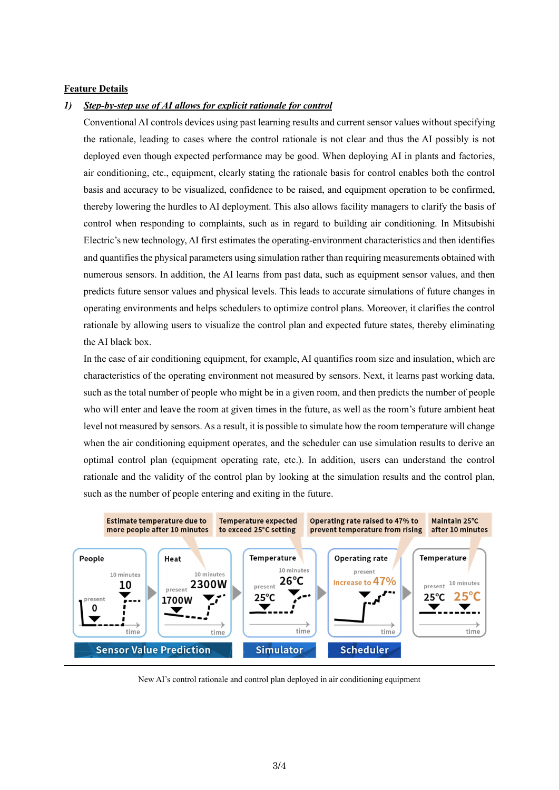#### **Feature Details**

#### *1) Step-by-step use of AI allows for explicit rationale for control*

Conventional AI controls devices using past learning results and current sensor values without specifying the rationale, leading to cases where the control rationale is not clear and thus the AI possibly is not deployed even though expected performance may be good. When deploying AI in plants and factories, air conditioning, etc., equipment, clearly stating the rationale basis for control enables both the control basis and accuracy to be visualized, confidence to be raised, and equipment operation to be confirmed, thereby lowering the hurdles to AI deployment. This also allows facility managers to clarify the basis of control when responding to complaints, such as in regard to building air conditioning. In Mitsubishi Electric's new technology, AI first estimates the operating-environment characteristics and then identifies and quantifies the physical parameters using simulation rather than requiring measurements obtained with numerous sensors. In addition, the AI learns from past data, such as equipment sensor values, and then predicts future sensor values and physical levels. This leads to accurate simulations of future changes in operating environments and helps schedulers to optimize control plans. Moreover, it clarifies the control rationale by allowing users to visualize the control plan and expected future states, thereby eliminating the AI black box.

In the case of air conditioning equipment, for example, AI quantifies room size and insulation, which are characteristics of the operating environment not measured by sensors. Next, it learns past working data, such as the total number of people who might be in a given room, and then predicts the number of people who will enter and leave the room at given times in the future, as well as the room's future ambient heat level not measured by sensors. As a result, it is possible to simulate how the room temperature will change when the air conditioning equipment operates, and the scheduler can use simulation results to derive an optimal control plan (equipment operating rate, etc.). In addition, users can understand the control rationale and the validity of the control plan by looking at the simulation results and the control plan, such as the number of people entering and exiting in the future.



New AI's control rationale and control plan deployed in air conditioning equipment